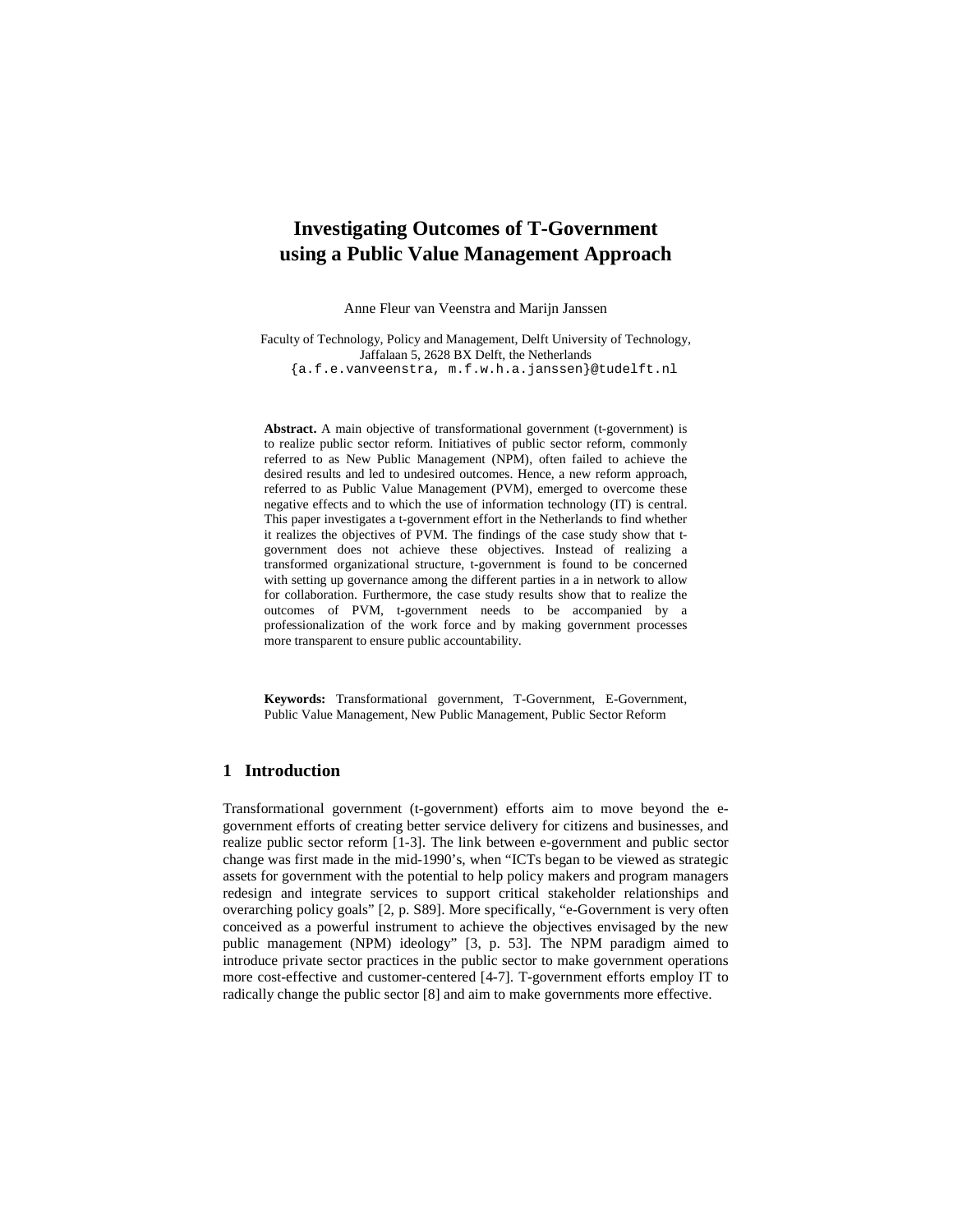# **Investigating Outcomes of T-Government using a Public Value Management Approach**

Anne Fleur van Veenstra and Marijn Janssen

Faculty of Technology, Policy and Management, Delft University of Technology, Jaffalaan 5, 2628 BX Delft, the Netherlands {a.f.e.vanveenstra, m.f.w.h.a.janssen}@tudelft.nl

Abstract. A main objective of transformational government (t-government) is to realize public sector reform. Initiatives of public sector reform, commonly referred to as New Public Management (NPM), often failed to achieve the desired results and led to undesired outcomes. Hence, a new reform approach, referred to as Public Value Management (PVM), emerged to overcome these negative effects and to which the use of information technology (IT) is central. This paper investigates a t-government effort in the Netherlands to find whether it realizes the objectives of PVM. The findings of the case study show that tgovernment does not achieve these objectives. Instead of realizing a transformed organizational structure, t-government is found to be concerned with setting up governance among the different parties in a in network to allow for collaboration. Furthermore, the case study results show that to realize the outcomes of PVM, t-government needs to be accompanied by a professionalization of the work force and by making government processes more transparent to ensure public accountability.

**Keywords:** Transformational government, T-Government, E-Government, Public Value Management, New Public Management, Public Sector Reform

## **1 Introduction**

Transformational government (t-government) efforts aim to move beyond the egovernment efforts of creating better service delivery for citizens and businesses, and realize public sector reform [1-3]. The link between e-government and public sector change was first made in the mid-1990's, when "ICTs began to be viewed as strategic assets for government with the potential to help policy makers and program managers redesign and integrate services to support critical stakeholder relationships and overarching policy goals" [2, p. S89]. More specifically, "e-Government is very often conceived as a powerful instrument to achieve the objectives envisaged by the new public management (NPM) ideology" [3, p. 53]. The NPM paradigm aimed to introduce private sector practices in the public sector to make government operations more cost-effective and customer-centered [4-7]. T-government efforts employ IT to radically change the public sector [8] and aim to make governments more effective.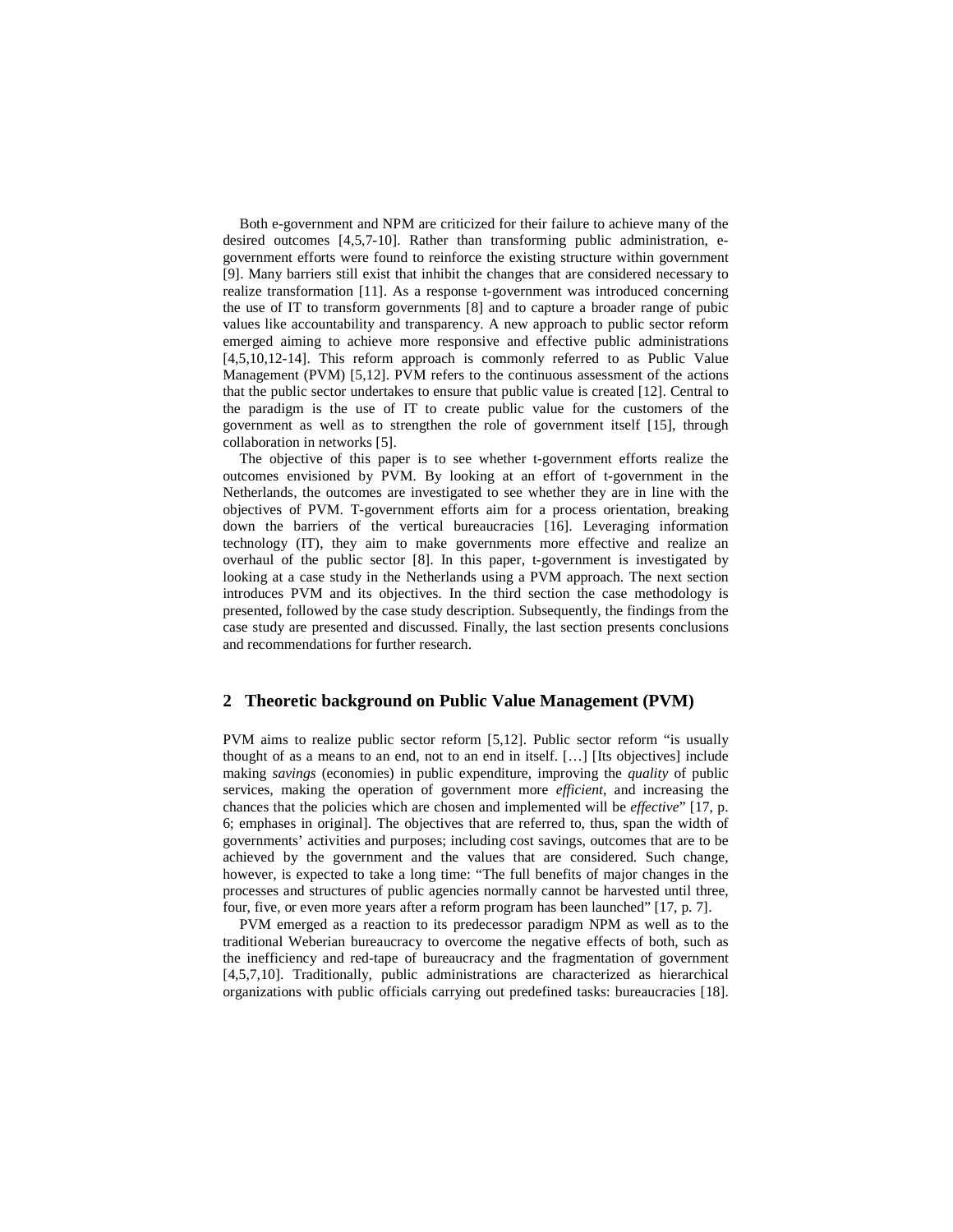Both e-government and NPM are criticized for their failure to achieve many of the desired outcomes [4,5,7-10]. Rather than transforming public administration, egovernment efforts were found to reinforce the existing structure within government [9]. Many barriers still exist that inhibit the changes that are considered necessary to realize transformation [11]. As a response t-government was introduced concerning the use of IT to transform governments [8] and to capture a broader range of pubic values like accountability and transparency. A new approach to public sector reform emerged aiming to achieve more responsive and effective public administrations [4,5,10,12-14]. This reform approach is commonly referred to as Public Value Management (PVM) [5,12]. PVM refers to the continuous assessment of the actions that the public sector undertakes to ensure that public value is created [12]. Central to the paradigm is the use of IT to create public value for the customers of the government as well as to strengthen the role of government itself [15], through collaboration in networks [5].

The objective of this paper is to see whether t-government efforts realize the outcomes envisioned by PVM. By looking at an effort of t-government in the Netherlands, the outcomes are investigated to see whether they are in line with the objectives of PVM. T-government efforts aim for a process orientation, breaking down the barriers of the vertical bureaucracies [16]. Leveraging information technology (IT), they aim to make governments more effective and realize an overhaul of the public sector [8]. In this paper, t-government is investigated by looking at a case study in the Netherlands using a PVM approach. The next section introduces PVM and its objectives. In the third section the case methodology is presented, followed by the case study description. Subsequently, the findings from the case study are presented and discussed. Finally, the last section presents conclusions and recommendations for further research.

### **2 Theoretic background on Public Value Management (PVM)**

PVM aims to realize public sector reform [5,12]. Public sector reform "is usually thought of as a means to an end, not to an end in itself. […] [Its objectives] include making *savings* (economies) in public expenditure, improving the *quality* of public services, making the operation of government more *efficient*, and increasing the chances that the policies which are chosen and implemented will be *effective*" [17, p. 6; emphases in original]. The objectives that are referred to, thus, span the width of governments' activities and purposes; including cost savings, outcomes that are to be achieved by the government and the values that are considered. Such change, however, is expected to take a long time: "The full benefits of major changes in the processes and structures of public agencies normally cannot be harvested until three, four, five, or even more years after a reform program has been launched" [17, p. 7].

PVM emerged as a reaction to its predecessor paradigm NPM as well as to the traditional Weberian bureaucracy to overcome the negative effects of both, such as the inefficiency and red-tape of bureaucracy and the fragmentation of government [4,5,7,10]. Traditionally, public administrations are characterized as hierarchical organizations with public officials carrying out predefined tasks: bureaucracies [18].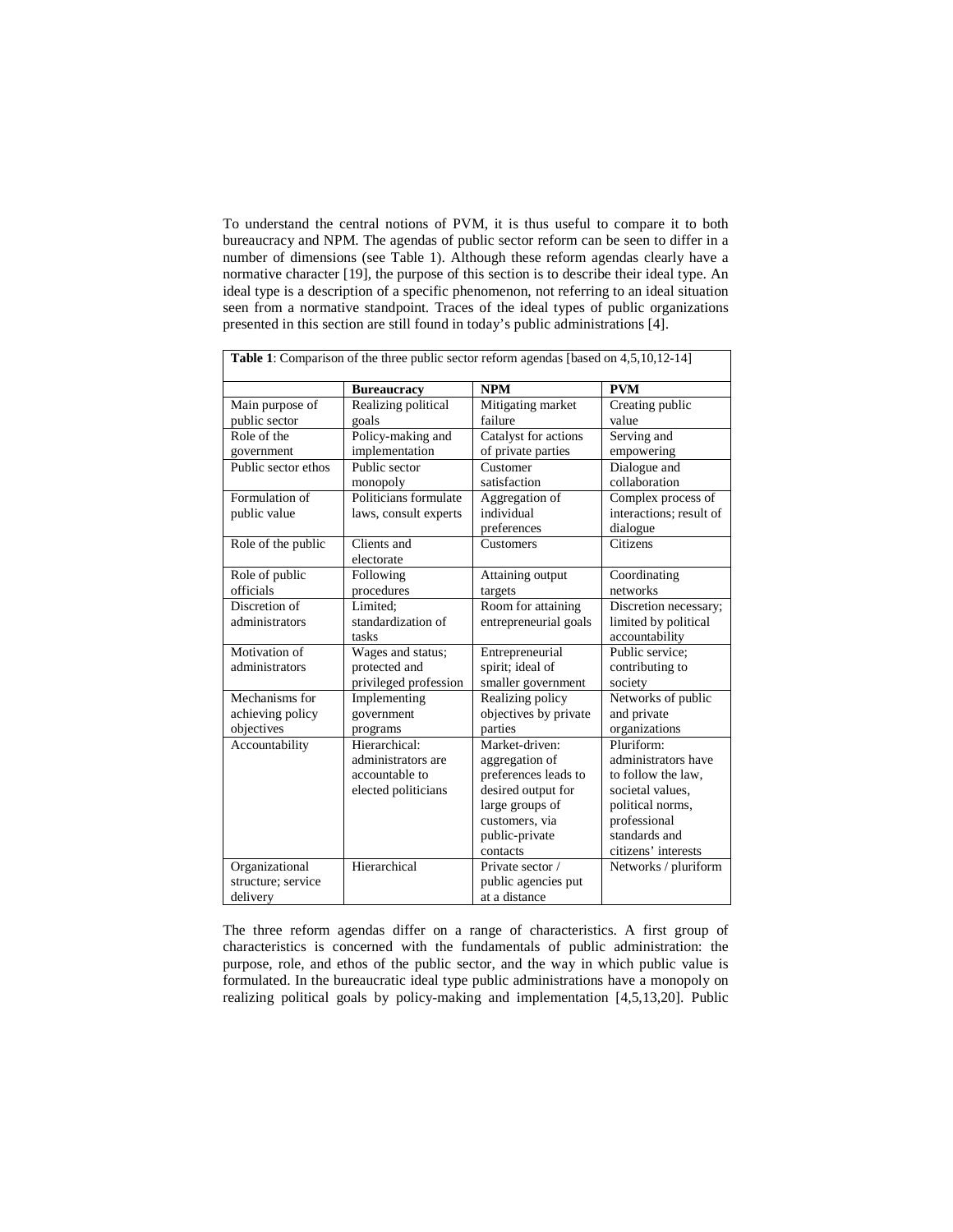To understand the central notions of PVM, it is thus useful to compare it to both bureaucracy and NPM. The agendas of public sector reform can be seen to differ in a number of dimensions (see Table 1). Although these reform agendas clearly have a normative character [19], the purpose of this section is to describe their ideal type. An ideal type is a description of a specific phenomenon, not referring to an ideal situation seen from a normative standpoint. Traces of the ideal types of public organizations presented in this section are still found in today's public administrations [4].

| <b>Table 1</b> : Comparison of the three public sector reform agendas [based on 4,5,10,12-14] |                       |                       |                         |
|-----------------------------------------------------------------------------------------------|-----------------------|-----------------------|-------------------------|
|                                                                                               | <b>Bureaucracy</b>    | <b>NPM</b>            | <b>PVM</b>              |
| Main purpose of                                                                               | Realizing political   | Mitigating market     | Creating public         |
| public sector                                                                                 | goals                 | failure               | value                   |
| Role of the                                                                                   | Policy-making and     | Catalyst for actions  | Serving and             |
| government                                                                                    | implementation        | of private parties    | empowering              |
| Public sector ethos                                                                           | Public sector         | Customer              | Dialogue and            |
|                                                                                               | monopoly              | satisfaction          | collaboration           |
| Formulation of                                                                                | Politicians formulate | Aggregation of        | Complex process of      |
| public value                                                                                  | laws, consult experts | individual            | interactions; result of |
|                                                                                               |                       | preferences           | dialogue                |
| Role of the public                                                                            | Clients and           | <b>Customers</b>      | Citizens                |
|                                                                                               | electorate            |                       |                         |
| Role of public                                                                                | Following             | Attaining output      | Coordinating            |
| officials                                                                                     | procedures            | targets               | networks                |
| Discretion of                                                                                 | Limited:              | Room for attaining    | Discretion necessary;   |
| administrators                                                                                | standardization of    | entrepreneurial goals | limited by political    |
|                                                                                               | tasks                 |                       | accountability          |
| Motivation of                                                                                 | Wages and status;     | Entrepreneurial       | Public service:         |
| administrators                                                                                | protected and         | spirit; ideal of      | contributing to         |
|                                                                                               | privileged profession | smaller government    | society                 |
| Mechanisms for                                                                                | Implementing          | Realizing policy      | Networks of public      |
| achieving policy                                                                              | government            | objectives by private | and private             |
| objectives                                                                                    | programs              | parties               | organizations           |
| Accountability                                                                                | Hierarchical:         | Market-driven:        | Pluriform:              |
|                                                                                               | administrators are    | aggregation of        | administrators have     |
|                                                                                               | accountable to        | preferences leads to  | to follow the law.      |
|                                                                                               | elected politicians   | desired output for    | societal values.        |
|                                                                                               |                       | large groups of       | political norms,        |
|                                                                                               |                       | customers, via        | professional            |
|                                                                                               |                       | public-private        | standards and           |
|                                                                                               |                       | contacts              | citizens' interests     |
| Organizational                                                                                | Hierarchical          | Private sector /      | Networks / pluriform    |
| structure; service                                                                            |                       | public agencies put   |                         |
| delivery                                                                                      |                       | at a distance         |                         |

The three reform agendas differ on a range of characteristics. A first group of characteristics is concerned with the fundamentals of public administration: the purpose, role, and ethos of the public sector, and the way in which public value is formulated. In the bureaucratic ideal type public administrations have a monopoly on realizing political goals by policy-making and implementation [4,5,13,20]. Public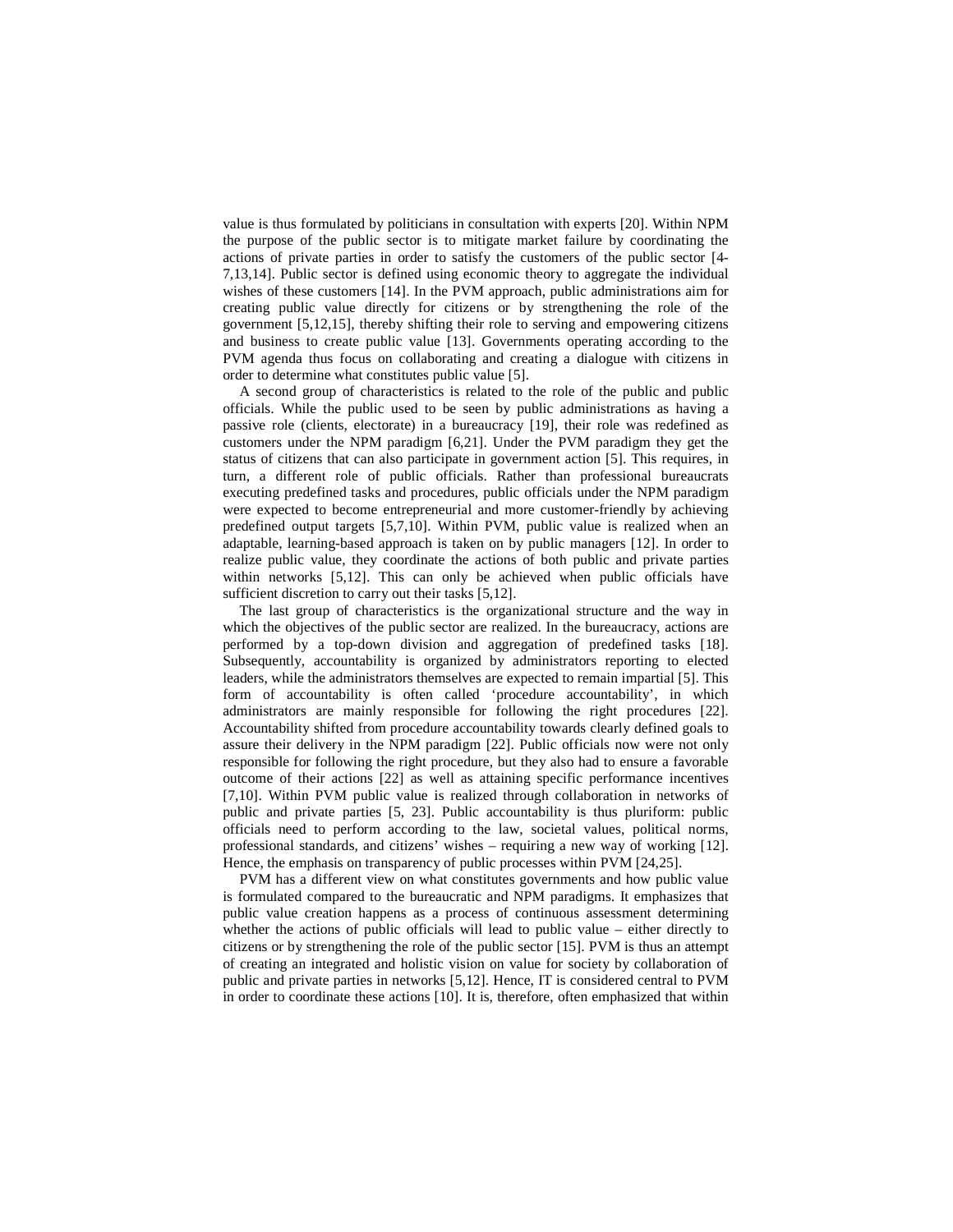value is thus formulated by politicians in consultation with experts [20]. Within NPM the purpose of the public sector is to mitigate market failure by coordinating the actions of private parties in order to satisfy the customers of the public sector [4- 7,13,14]. Public sector is defined using economic theory to aggregate the individual wishes of these customers [14]. In the PVM approach, public administrations aim for creating public value directly for citizens or by strengthening the role of the government [5,12,15], thereby shifting their role to serving and empowering citizens and business to create public value [13]. Governments operating according to the PVM agenda thus focus on collaborating and creating a dialogue with citizens in order to determine what constitutes public value [5].

A second group of characteristics is related to the role of the public and public officials. While the public used to be seen by public administrations as having a passive role (clients, electorate) in a bureaucracy [19], their role was redefined as customers under the NPM paradigm [6,21]. Under the PVM paradigm they get the status of citizens that can also participate in government action [5]. This requires, in turn, a different role of public officials. Rather than professional bureaucrats executing predefined tasks and procedures, public officials under the NPM paradigm were expected to become entrepreneurial and more customer-friendly by achieving predefined output targets [5,7,10]. Within PVM, public value is realized when an adaptable, learning-based approach is taken on by public managers [12]. In order to realize public value, they coordinate the actions of both public and private parties within networks [5,12]. This can only be achieved when public officials have sufficient discretion to carry out their tasks [5,12].

The last group of characteristics is the organizational structure and the way in which the objectives of the public sector are realized. In the bureaucracy, actions are performed by a top-down division and aggregation of predefined tasks [18]. Subsequently, accountability is organized by administrators reporting to elected leaders, while the administrators themselves are expected to remain impartial [5]. This form of accountability is often called 'procedure accountability', in which administrators are mainly responsible for following the right procedures [22]. Accountability shifted from procedure accountability towards clearly defined goals to assure their delivery in the NPM paradigm [22]. Public officials now were not only responsible for following the right procedure, but they also had to ensure a favorable outcome of their actions [22] as well as attaining specific performance incentives [7,10]. Within PVM public value is realized through collaboration in networks of public and private parties [5, 23]. Public accountability is thus pluriform: public officials need to perform according to the law, societal values, political norms, professional standards, and citizens' wishes – requiring a new way of working [12]. Hence, the emphasis on transparency of public processes within PVM [24,25].

PVM has a different view on what constitutes governments and how public value is formulated compared to the bureaucratic and NPM paradigms. It emphasizes that public value creation happens as a process of continuous assessment determining whether the actions of public officials will lead to public value – either directly to citizens or by strengthening the role of the public sector [15]. PVM is thus an attempt of creating an integrated and holistic vision on value for society by collaboration of public and private parties in networks [5,12]. Hence, IT is considered central to PVM in order to coordinate these actions [10]. It is, therefore, often emphasized that within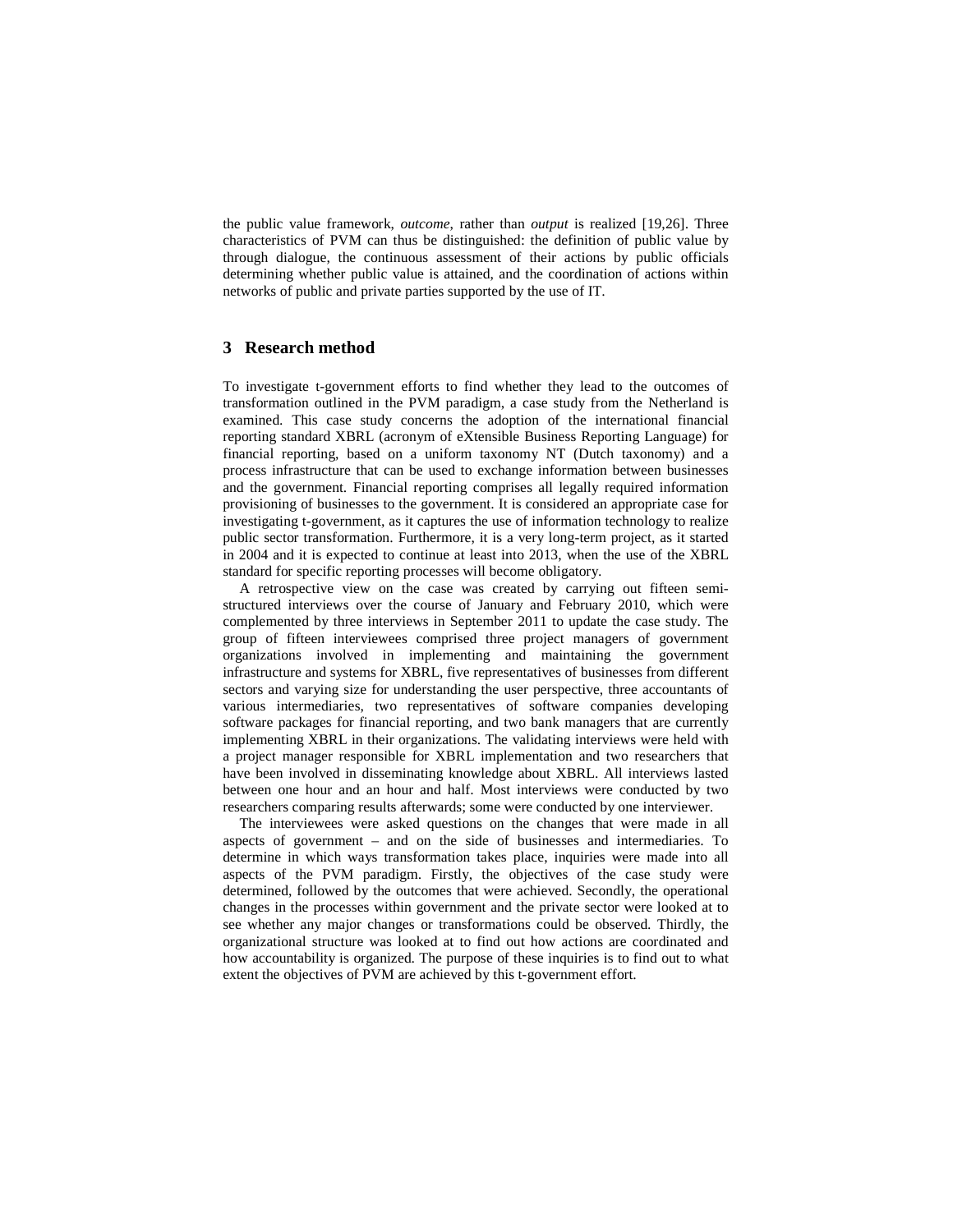the public value framework, *outcome*, rather than *output* is realized [19,26]. Three characteristics of PVM can thus be distinguished: the definition of public value by through dialogue, the continuous assessment of their actions by public officials determining whether public value is attained, and the coordination of actions within networks of public and private parties supported by the use of IT.

#### **3 Research method**

To investigate t-government efforts to find whether they lead to the outcomes of transformation outlined in the PVM paradigm, a case study from the Netherland is examined. This case study concerns the adoption of the international financial reporting standard XBRL (acronym of eXtensible Business Reporting Language) for financial reporting, based on a uniform taxonomy NT (Dutch taxonomy) and a process infrastructure that can be used to exchange information between businesses and the government. Financial reporting comprises all legally required information provisioning of businesses to the government. It is considered an appropriate case for investigating t-government, as it captures the use of information technology to realize public sector transformation. Furthermore, it is a very long-term project, as it started in 2004 and it is expected to continue at least into 2013, when the use of the XBRL standard for specific reporting processes will become obligatory.

A retrospective view on the case was created by carrying out fifteen semistructured interviews over the course of January and February 2010, which were complemented by three interviews in September 2011 to update the case study. The group of fifteen interviewees comprised three project managers of government organizations involved in implementing and maintaining the government infrastructure and systems for XBRL, five representatives of businesses from different sectors and varying size for understanding the user perspective, three accountants of various intermediaries, two representatives of software companies developing software packages for financial reporting, and two bank managers that are currently implementing XBRL in their organizations. The validating interviews were held with a project manager responsible for XBRL implementation and two researchers that have been involved in disseminating knowledge about XBRL. All interviews lasted between one hour and an hour and half. Most interviews were conducted by two researchers comparing results afterwards; some were conducted by one interviewer.

The interviewees were asked questions on the changes that were made in all aspects of government – and on the side of businesses and intermediaries. To determine in which ways transformation takes place, inquiries were made into all aspects of the PVM paradigm. Firstly, the objectives of the case study were determined, followed by the outcomes that were achieved. Secondly, the operational changes in the processes within government and the private sector were looked at to see whether any major changes or transformations could be observed. Thirdly, the organizational structure was looked at to find out how actions are coordinated and how accountability is organized. The purpose of these inquiries is to find out to what extent the objectives of PVM are achieved by this t-government effort.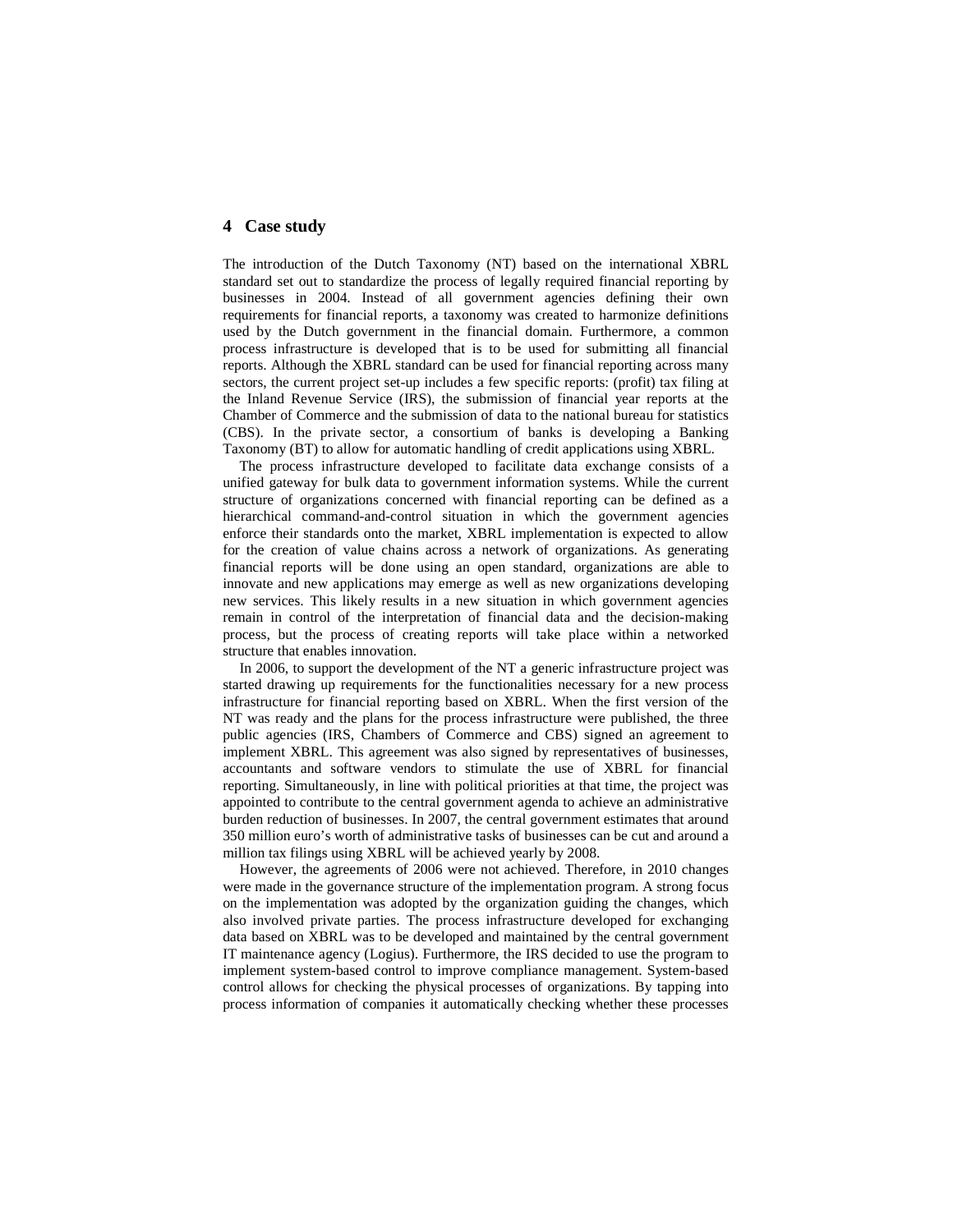## **4 Case study**

The introduction of the Dutch Taxonomy (NT) based on the international XBRL standard set out to standardize the process of legally required financial reporting by businesses in 2004. Instead of all government agencies defining their own requirements for financial reports, a taxonomy was created to harmonize definitions used by the Dutch government in the financial domain. Furthermore, a common process infrastructure is developed that is to be used for submitting all financial reports. Although the XBRL standard can be used for financial reporting across many sectors, the current project set-up includes a few specific reports: (profit) tax filing at the Inland Revenue Service (IRS), the submission of financial year reports at the Chamber of Commerce and the submission of data to the national bureau for statistics (CBS). In the private sector, a consortium of banks is developing a Banking Taxonomy (BT) to allow for automatic handling of credit applications using XBRL.

The process infrastructure developed to facilitate data exchange consists of a unified gateway for bulk data to government information systems. While the current structure of organizations concerned with financial reporting can be defined as a hierarchical command-and-control situation in which the government agencies enforce their standards onto the market, XBRL implementation is expected to allow for the creation of value chains across a network of organizations. As generating financial reports will be done using an open standard, organizations are able to innovate and new applications may emerge as well as new organizations developing new services. This likely results in a new situation in which government agencies remain in control of the interpretation of financial data and the decision-making process, but the process of creating reports will take place within a networked structure that enables innovation.

In 2006, to support the development of the NT a generic infrastructure project was started drawing up requirements for the functionalities necessary for a new process infrastructure for financial reporting based on XBRL. When the first version of the NT was ready and the plans for the process infrastructure were published, the three public agencies (IRS, Chambers of Commerce and CBS) signed an agreement to implement XBRL. This agreement was also signed by representatives of businesses, accountants and software vendors to stimulate the use of XBRL for financial reporting. Simultaneously, in line with political priorities at that time, the project was appointed to contribute to the central government agenda to achieve an administrative burden reduction of businesses. In 2007, the central government estimates that around 350 million euro's worth of administrative tasks of businesses can be cut and around a million tax filings using XBRL will be achieved yearly by 2008.

However, the agreements of 2006 were not achieved. Therefore, in 2010 changes were made in the governance structure of the implementation program. A strong focus on the implementation was adopted by the organization guiding the changes, which also involved private parties. The process infrastructure developed for exchanging data based on XBRL was to be developed and maintained by the central government IT maintenance agency (Logius). Furthermore, the IRS decided to use the program to implement system-based control to improve compliance management. System-based control allows for checking the physical processes of organizations. By tapping into process information of companies it automatically checking whether these processes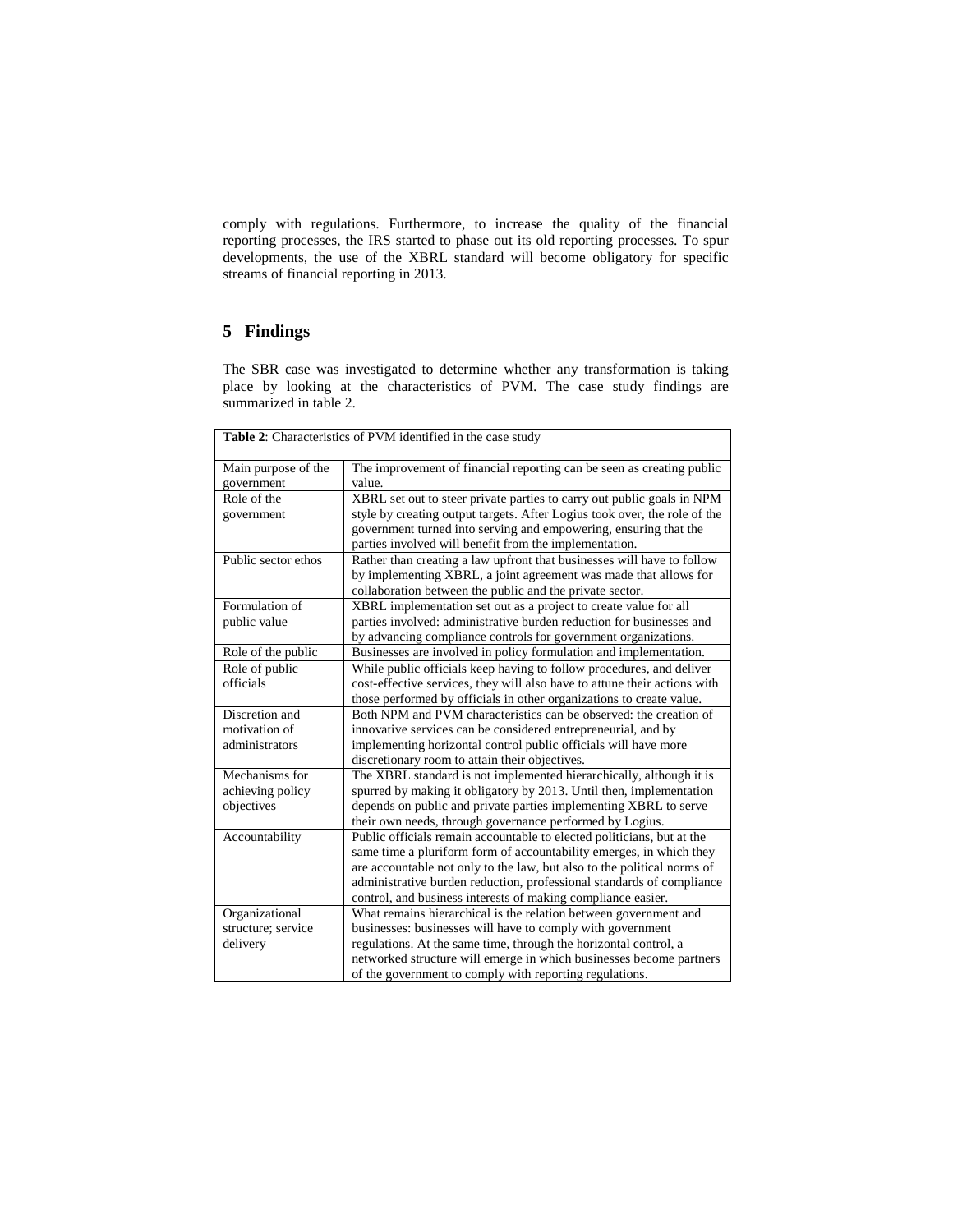comply with regulations. Furthermore, to increase the quality of the financial reporting processes, the IRS started to phase out its old reporting processes. To spur developments, the use of the XBRL standard will become obligatory for specific streams of financial reporting in 2013.

## **5 Findings**

The SBR case was investigated to determine whether any transformation is taking place by looking at the characteristics of PVM. The case study findings are summarized in table 2.

| Main purpose of the<br>The improvement of financial reporting can be seen as creating public<br>value.<br>government<br>Role of the<br>XBRL set out to steer private parties to carry out public goals in NPM<br>style by creating output targets. After Logius took over, the role of the<br>government<br>government turned into serving and empowering, ensuring that the<br>parties involved will benefit from the implementation.<br>Public sector ethos<br>Rather than creating a law upfront that businesses will have to follow<br>by implementing XBRL, a joint agreement was made that allows for<br>collaboration between the public and the private sector.<br>Formulation of<br>XBRL implementation set out as a project to create value for all<br>parties involved: administrative burden reduction for businesses and<br>public value<br>by advancing compliance controls for government organizations.<br>Businesses are involved in policy formulation and implementation.<br>Role of the public<br>Role of public<br>While public officials keep having to follow procedures, and deliver<br>officials<br>cost-effective services, they will also have to attune their actions with<br>those performed by officials in other organizations to create value.<br>Discretion and<br>Both NPM and PVM characteristics can be observed: the creation of<br>motivation of<br>innovative services can be considered entrepreneurial, and by<br>implementing horizontal control public officials will have more<br>administrators<br>discretionary room to attain their objectives. |
|------------------------------------------------------------------------------------------------------------------------------------------------------------------------------------------------------------------------------------------------------------------------------------------------------------------------------------------------------------------------------------------------------------------------------------------------------------------------------------------------------------------------------------------------------------------------------------------------------------------------------------------------------------------------------------------------------------------------------------------------------------------------------------------------------------------------------------------------------------------------------------------------------------------------------------------------------------------------------------------------------------------------------------------------------------------------------------------------------------------------------------------------------------------------------------------------------------------------------------------------------------------------------------------------------------------------------------------------------------------------------------------------------------------------------------------------------------------------------------------------------------------------------------------------------------------------------------------------|
|                                                                                                                                                                                                                                                                                                                                                                                                                                                                                                                                                                                                                                                                                                                                                                                                                                                                                                                                                                                                                                                                                                                                                                                                                                                                                                                                                                                                                                                                                                                                                                                                |
|                                                                                                                                                                                                                                                                                                                                                                                                                                                                                                                                                                                                                                                                                                                                                                                                                                                                                                                                                                                                                                                                                                                                                                                                                                                                                                                                                                                                                                                                                                                                                                                                |
|                                                                                                                                                                                                                                                                                                                                                                                                                                                                                                                                                                                                                                                                                                                                                                                                                                                                                                                                                                                                                                                                                                                                                                                                                                                                                                                                                                                                                                                                                                                                                                                                |
|                                                                                                                                                                                                                                                                                                                                                                                                                                                                                                                                                                                                                                                                                                                                                                                                                                                                                                                                                                                                                                                                                                                                                                                                                                                                                                                                                                                                                                                                                                                                                                                                |
|                                                                                                                                                                                                                                                                                                                                                                                                                                                                                                                                                                                                                                                                                                                                                                                                                                                                                                                                                                                                                                                                                                                                                                                                                                                                                                                                                                                                                                                                                                                                                                                                |
|                                                                                                                                                                                                                                                                                                                                                                                                                                                                                                                                                                                                                                                                                                                                                                                                                                                                                                                                                                                                                                                                                                                                                                                                                                                                                                                                                                                                                                                                                                                                                                                                |
|                                                                                                                                                                                                                                                                                                                                                                                                                                                                                                                                                                                                                                                                                                                                                                                                                                                                                                                                                                                                                                                                                                                                                                                                                                                                                                                                                                                                                                                                                                                                                                                                |
|                                                                                                                                                                                                                                                                                                                                                                                                                                                                                                                                                                                                                                                                                                                                                                                                                                                                                                                                                                                                                                                                                                                                                                                                                                                                                                                                                                                                                                                                                                                                                                                                |
|                                                                                                                                                                                                                                                                                                                                                                                                                                                                                                                                                                                                                                                                                                                                                                                                                                                                                                                                                                                                                                                                                                                                                                                                                                                                                                                                                                                                                                                                                                                                                                                                |
|                                                                                                                                                                                                                                                                                                                                                                                                                                                                                                                                                                                                                                                                                                                                                                                                                                                                                                                                                                                                                                                                                                                                                                                                                                                                                                                                                                                                                                                                                                                                                                                                |
|                                                                                                                                                                                                                                                                                                                                                                                                                                                                                                                                                                                                                                                                                                                                                                                                                                                                                                                                                                                                                                                                                                                                                                                                                                                                                                                                                                                                                                                                                                                                                                                                |
|                                                                                                                                                                                                                                                                                                                                                                                                                                                                                                                                                                                                                                                                                                                                                                                                                                                                                                                                                                                                                                                                                                                                                                                                                                                                                                                                                                                                                                                                                                                                                                                                |
|                                                                                                                                                                                                                                                                                                                                                                                                                                                                                                                                                                                                                                                                                                                                                                                                                                                                                                                                                                                                                                                                                                                                                                                                                                                                                                                                                                                                                                                                                                                                                                                                |
|                                                                                                                                                                                                                                                                                                                                                                                                                                                                                                                                                                                                                                                                                                                                                                                                                                                                                                                                                                                                                                                                                                                                                                                                                                                                                                                                                                                                                                                                                                                                                                                                |
|                                                                                                                                                                                                                                                                                                                                                                                                                                                                                                                                                                                                                                                                                                                                                                                                                                                                                                                                                                                                                                                                                                                                                                                                                                                                                                                                                                                                                                                                                                                                                                                                |
|                                                                                                                                                                                                                                                                                                                                                                                                                                                                                                                                                                                                                                                                                                                                                                                                                                                                                                                                                                                                                                                                                                                                                                                                                                                                                                                                                                                                                                                                                                                                                                                                |
|                                                                                                                                                                                                                                                                                                                                                                                                                                                                                                                                                                                                                                                                                                                                                                                                                                                                                                                                                                                                                                                                                                                                                                                                                                                                                                                                                                                                                                                                                                                                                                                                |
|                                                                                                                                                                                                                                                                                                                                                                                                                                                                                                                                                                                                                                                                                                                                                                                                                                                                                                                                                                                                                                                                                                                                                                                                                                                                                                                                                                                                                                                                                                                                                                                                |
|                                                                                                                                                                                                                                                                                                                                                                                                                                                                                                                                                                                                                                                                                                                                                                                                                                                                                                                                                                                                                                                                                                                                                                                                                                                                                                                                                                                                                                                                                                                                                                                                |
|                                                                                                                                                                                                                                                                                                                                                                                                                                                                                                                                                                                                                                                                                                                                                                                                                                                                                                                                                                                                                                                                                                                                                                                                                                                                                                                                                                                                                                                                                                                                                                                                |
| Mechanisms for<br>The XBRL standard is not implemented hierarchically, although it is                                                                                                                                                                                                                                                                                                                                                                                                                                                                                                                                                                                                                                                                                                                                                                                                                                                                                                                                                                                                                                                                                                                                                                                                                                                                                                                                                                                                                                                                                                          |
| achieving policy<br>spurred by making it obligatory by 2013. Until then, implementation                                                                                                                                                                                                                                                                                                                                                                                                                                                                                                                                                                                                                                                                                                                                                                                                                                                                                                                                                                                                                                                                                                                                                                                                                                                                                                                                                                                                                                                                                                        |
| depends on public and private parties implementing XBRL to serve<br>objectives                                                                                                                                                                                                                                                                                                                                                                                                                                                                                                                                                                                                                                                                                                                                                                                                                                                                                                                                                                                                                                                                                                                                                                                                                                                                                                                                                                                                                                                                                                                 |
| their own needs, through governance performed by Logius.                                                                                                                                                                                                                                                                                                                                                                                                                                                                                                                                                                                                                                                                                                                                                                                                                                                                                                                                                                                                                                                                                                                                                                                                                                                                                                                                                                                                                                                                                                                                       |
| Accountability<br>Public officials remain accountable to elected politicians, but at the                                                                                                                                                                                                                                                                                                                                                                                                                                                                                                                                                                                                                                                                                                                                                                                                                                                                                                                                                                                                                                                                                                                                                                                                                                                                                                                                                                                                                                                                                                       |
| same time a pluriform form of accountability emerges, in which they                                                                                                                                                                                                                                                                                                                                                                                                                                                                                                                                                                                                                                                                                                                                                                                                                                                                                                                                                                                                                                                                                                                                                                                                                                                                                                                                                                                                                                                                                                                            |
| are accountable not only to the law, but also to the political norms of                                                                                                                                                                                                                                                                                                                                                                                                                                                                                                                                                                                                                                                                                                                                                                                                                                                                                                                                                                                                                                                                                                                                                                                                                                                                                                                                                                                                                                                                                                                        |
| administrative burden reduction, professional standards of compliance                                                                                                                                                                                                                                                                                                                                                                                                                                                                                                                                                                                                                                                                                                                                                                                                                                                                                                                                                                                                                                                                                                                                                                                                                                                                                                                                                                                                                                                                                                                          |
| control, and business interests of making compliance easier.                                                                                                                                                                                                                                                                                                                                                                                                                                                                                                                                                                                                                                                                                                                                                                                                                                                                                                                                                                                                                                                                                                                                                                                                                                                                                                                                                                                                                                                                                                                                   |
| Organizational<br>What remains hierarchical is the relation between government and<br>structure; service<br>businesses: businesses will have to comply with government                                                                                                                                                                                                                                                                                                                                                                                                                                                                                                                                                                                                                                                                                                                                                                                                                                                                                                                                                                                                                                                                                                                                                                                                                                                                                                                                                                                                                         |
| delivery<br>regulations. At the same time, through the horizontal control, a                                                                                                                                                                                                                                                                                                                                                                                                                                                                                                                                                                                                                                                                                                                                                                                                                                                                                                                                                                                                                                                                                                                                                                                                                                                                                                                                                                                                                                                                                                                   |
| networked structure will emerge in which businesses become partners                                                                                                                                                                                                                                                                                                                                                                                                                                                                                                                                                                                                                                                                                                                                                                                                                                                                                                                                                                                                                                                                                                                                                                                                                                                                                                                                                                                                                                                                                                                            |
| of the government to comply with reporting regulations.                                                                                                                                                                                                                                                                                                                                                                                                                                                                                                                                                                                                                                                                                                                                                                                                                                                                                                                                                                                                                                                                                                                                                                                                                                                                                                                                                                                                                                                                                                                                        |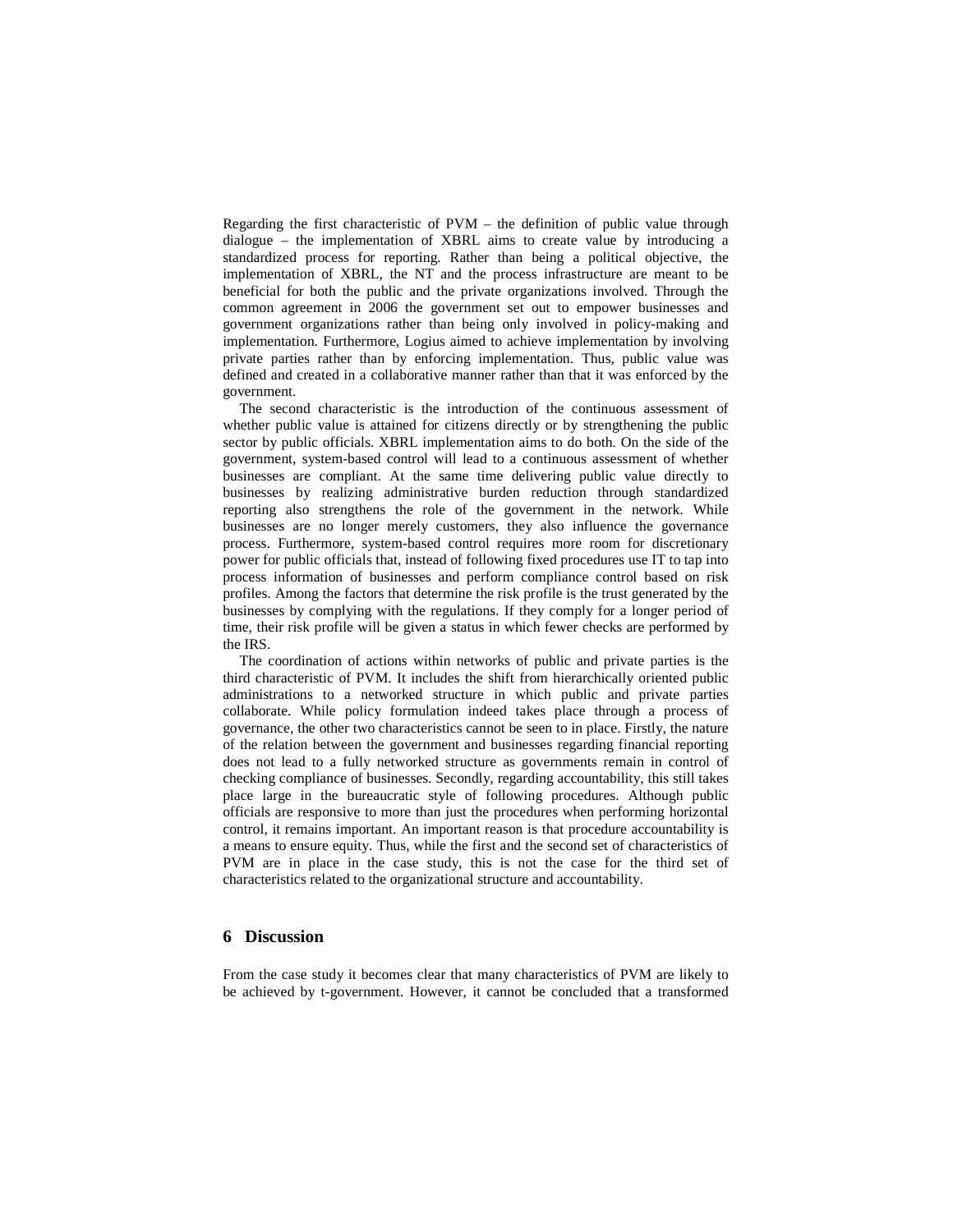Regarding the first characteristic of PVM – the definition of public value through dialogue – the implementation of XBRL aims to create value by introducing a standardized process for reporting. Rather than being a political objective, the implementation of XBRL, the NT and the process infrastructure are meant to be beneficial for both the public and the private organizations involved. Through the common agreement in 2006 the government set out to empower businesses and government organizations rather than being only involved in policy-making and implementation. Furthermore, Logius aimed to achieve implementation by involving private parties rather than by enforcing implementation. Thus, public value was defined and created in a collaborative manner rather than that it was enforced by the government.

The second characteristic is the introduction of the continuous assessment of whether public value is attained for citizens directly or by strengthening the public sector by public officials. XBRL implementation aims to do both. On the side of the government, system-based control will lead to a continuous assessment of whether businesses are compliant. At the same time delivering public value directly to businesses by realizing administrative burden reduction through standardized reporting also strengthens the role of the government in the network. While businesses are no longer merely customers, they also influence the governance process. Furthermore, system-based control requires more room for discretionary power for public officials that, instead of following fixed procedures use IT to tap into process information of businesses and perform compliance control based on risk profiles. Among the factors that determine the risk profile is the trust generated by the businesses by complying with the regulations. If they comply for a longer period of time, their risk profile will be given a status in which fewer checks are performed by the IRS.

The coordination of actions within networks of public and private parties is the third characteristic of PVM. It includes the shift from hierarchically oriented public administrations to a networked structure in which public and private parties collaborate. While policy formulation indeed takes place through a process of governance, the other two characteristics cannot be seen to in place. Firstly, the nature of the relation between the government and businesses regarding financial reporting does not lead to a fully networked structure as governments remain in control of checking compliance of businesses. Secondly, regarding accountability, this still takes place large in the bureaucratic style of following procedures. Although public officials are responsive to more than just the procedures when performing horizontal control, it remains important. An important reason is that procedure accountability is a means to ensure equity. Thus, while the first and the second set of characteristics of PVM are in place in the case study, this is not the case for the third set of characteristics related to the organizational structure and accountability.

#### **6 Discussion**

From the case study it becomes clear that many characteristics of PVM are likely to be achieved by t-government. However, it cannot be concluded that a transformed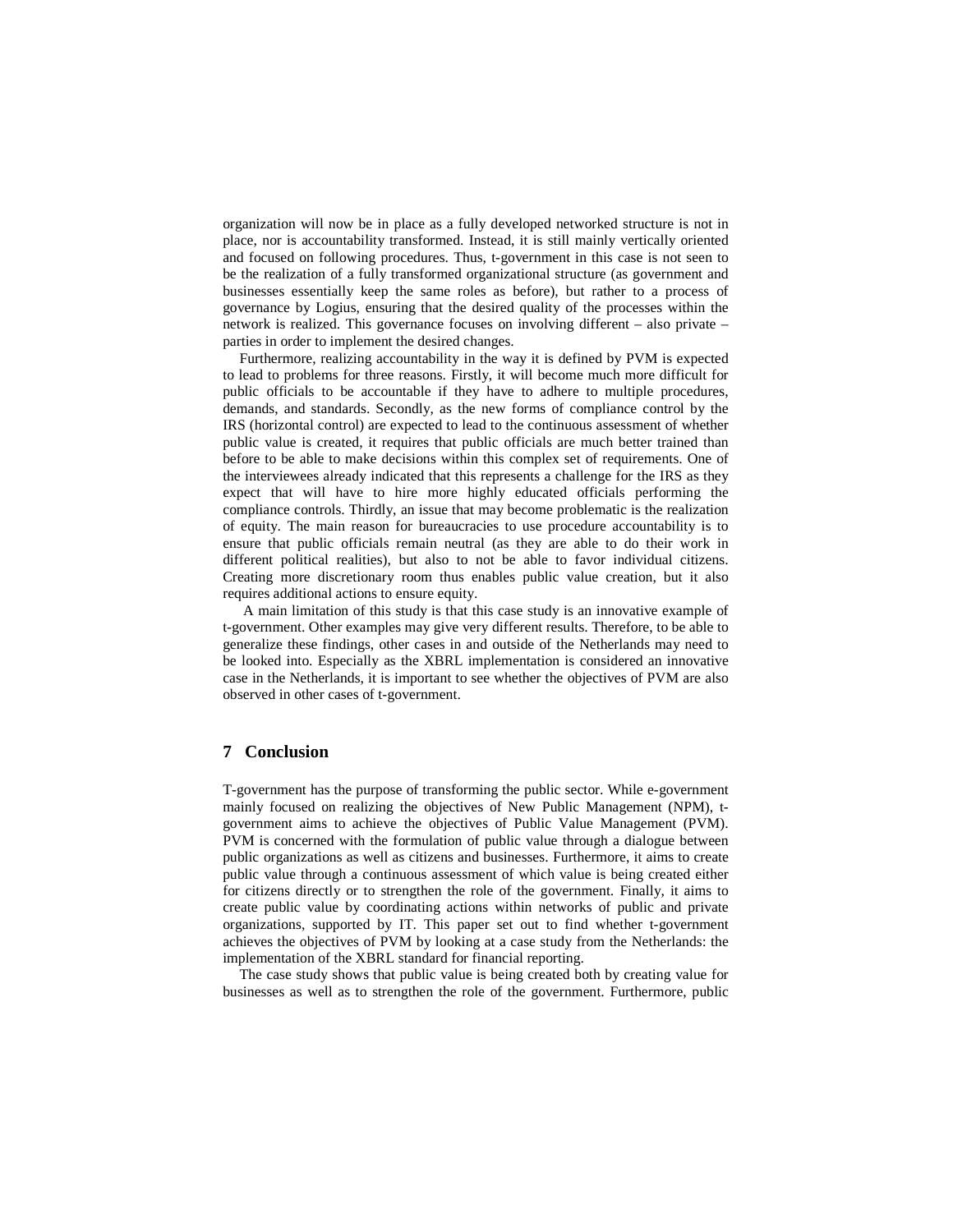organization will now be in place as a fully developed networked structure is not in place, nor is accountability transformed. Instead, it is still mainly vertically oriented and focused on following procedures. Thus, t-government in this case is not seen to be the realization of a fully transformed organizational structure (as government and businesses essentially keep the same roles as before), but rather to a process of governance by Logius, ensuring that the desired quality of the processes within the network is realized. This governance focuses on involving different – also private – parties in order to implement the desired changes.

Furthermore, realizing accountability in the way it is defined by PVM is expected to lead to problems for three reasons. Firstly, it will become much more difficult for public officials to be accountable if they have to adhere to multiple procedures, demands, and standards. Secondly, as the new forms of compliance control by the IRS (horizontal control) are expected to lead to the continuous assessment of whether public value is created, it requires that public officials are much better trained than before to be able to make decisions within this complex set of requirements. One of the interviewees already indicated that this represents a challenge for the IRS as they expect that will have to hire more highly educated officials performing the compliance controls. Thirdly, an issue that may become problematic is the realization of equity. The main reason for bureaucracies to use procedure accountability is to ensure that public officials remain neutral (as they are able to do their work in different political realities), but also to not be able to favor individual citizens. Creating more discretionary room thus enables public value creation, but it also requires additional actions to ensure equity.

 A main limitation of this study is that this case study is an innovative example of t-government. Other examples may give very different results. Therefore, to be able to generalize these findings, other cases in and outside of the Netherlands may need to be looked into. Especially as the XBRL implementation is considered an innovative case in the Netherlands, it is important to see whether the objectives of PVM are also observed in other cases of t-government.

#### **7 Conclusion**

T-government has the purpose of transforming the public sector. While e-government mainly focused on realizing the objectives of New Public Management (NPM), tgovernment aims to achieve the objectives of Public Value Management (PVM). PVM is concerned with the formulation of public value through a dialogue between public organizations as well as citizens and businesses. Furthermore, it aims to create public value through a continuous assessment of which value is being created either for citizens directly or to strengthen the role of the government. Finally, it aims to create public value by coordinating actions within networks of public and private organizations, supported by IT. This paper set out to find whether t-government achieves the objectives of PVM by looking at a case study from the Netherlands: the implementation of the XBRL standard for financial reporting.

The case study shows that public value is being created both by creating value for businesses as well as to strengthen the role of the government. Furthermore, public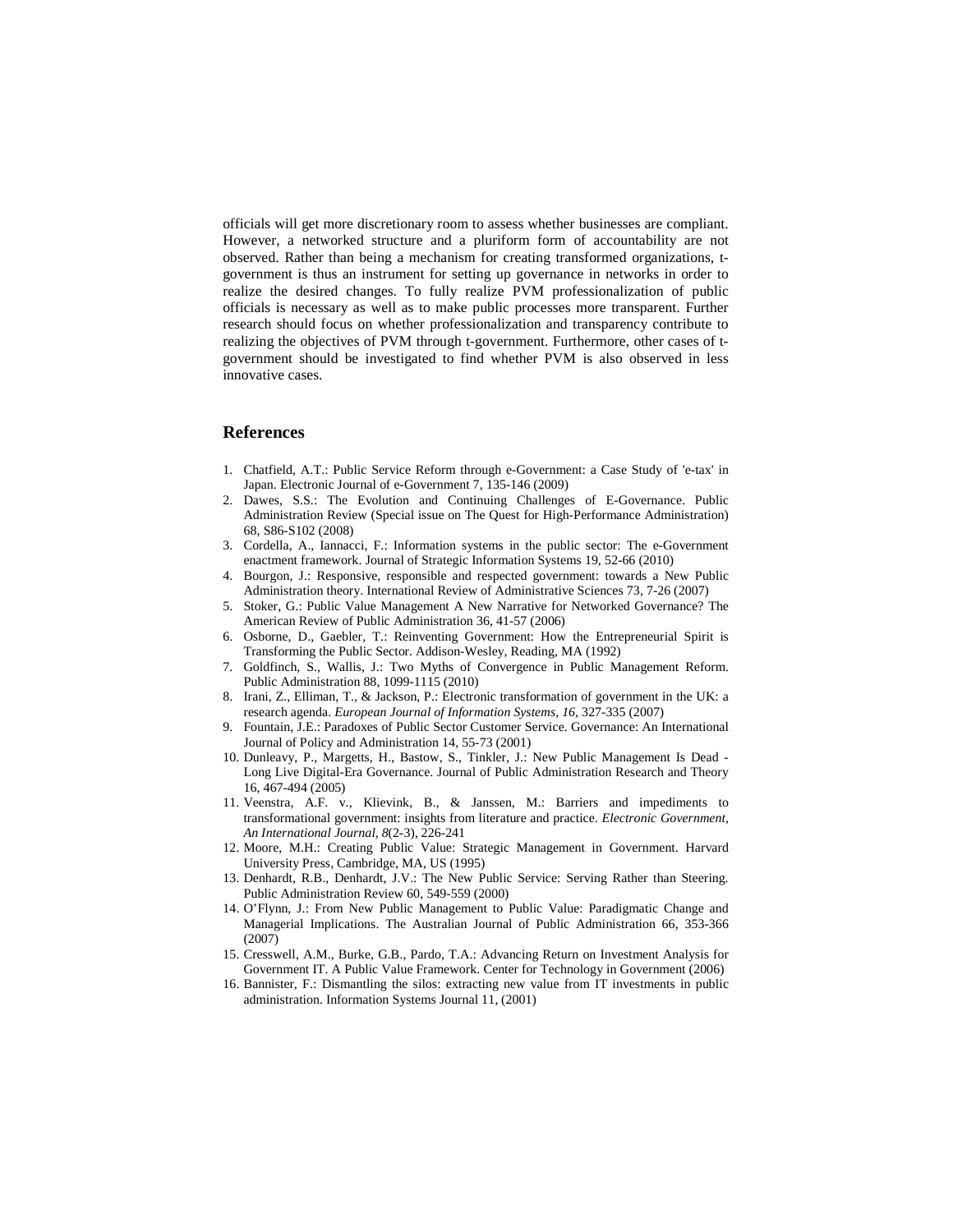officials will get more discretionary room to assess whether businesses are compliant. However, a networked structure and a pluriform form of accountability are not observed. Rather than being a mechanism for creating transformed organizations, tgovernment is thus an instrument for setting up governance in networks in order to realize the desired changes. To fully realize PVM professionalization of public officials is necessary as well as to make public processes more transparent. Further research should focus on whether professionalization and transparency contribute to realizing the objectives of PVM through t-government. Furthermore, other cases of tgovernment should be investigated to find whether PVM is also observed in less innovative cases.

## **References**

- 1. Chatfield, A.T.: Public Service Reform through e-Government: a Case Study of 'e-tax' in Japan. Electronic Journal of e-Government 7, 135-146 (2009)
- 2. Dawes, S.S.: The Evolution and Continuing Challenges of E-Governance. Public Administration Review (Special issue on The Quest for High-Performance Administration) 68, S86-S102 (2008)
- 3. Cordella, A., Iannacci, F.: Information systems in the public sector: The e-Government enactment framework. Journal of Strategic Information Systems 19, 52-66 (2010)
- 4. Bourgon, J.: Responsive, responsible and respected government: towards a New Public Administration theory. International Review of Administrative Sciences 73, 7-26 (2007)
- 5. Stoker, G.: Public Value Management A New Narrative for Networked Governance? The American Review of Public Administration 36, 41-57 (2006)
- 6. Osborne, D., Gaebler, T.: Reinventing Government: How the Entrepreneurial Spirit is Transforming the Public Sector. Addison-Wesley, Reading, MA (1992)
- 7. Goldfinch, S., Wallis, J.: Two Myths of Convergence in Public Management Reform. Public Administration 88, 1099-1115 (2010)
- 8. Irani, Z., Elliman, T., & Jackson, P.: Electronic transformation of government in the UK: a research agenda. *European Journal of Information Systems, 16*, 327-335 (2007)
- 9. Fountain, J.E.: Paradoxes of Public Sector Customer Service. Governance: An International Journal of Policy and Administration 14, 55-73 (2001)
- 10. Dunleavy, P., Margetts, H., Bastow, S., Tinkler, J.: New Public Management Is Dead Long Live Digital-Era Governance. Journal of Public Administration Research and Theory 16, 467-494 (2005)
- 11. Veenstra, A.F. v., Klievink, B., & Janssen, M.: Barriers and impediments to transformational government: insights from literature and practice. *Electronic Government, An International Journal, 8*(2-3), 226-241
- 12. Moore, M.H.: Creating Public Value: Strategic Management in Government. Harvard University Press, Cambridge, MA, US (1995)
- 13. Denhardt, R.B., Denhardt, J.V.: The New Public Service: Serving Rather than Steering. Public Administration Review 60, 549-559 (2000)
- 14. O'Flynn, J.: From New Public Management to Public Value: Paradigmatic Change and Managerial Implications. The Australian Journal of Public Administration 66, 353-366 (2007)
- 15. Cresswell, A.M., Burke, G.B., Pardo, T.A.: Advancing Return on Investment Analysis for Government IT. A Public Value Framework. Center for Technology in Government (2006)
- 16. Bannister, F.: Dismantling the silos: extracting new value from IT investments in public administration. Information Systems Journal 11, (2001)